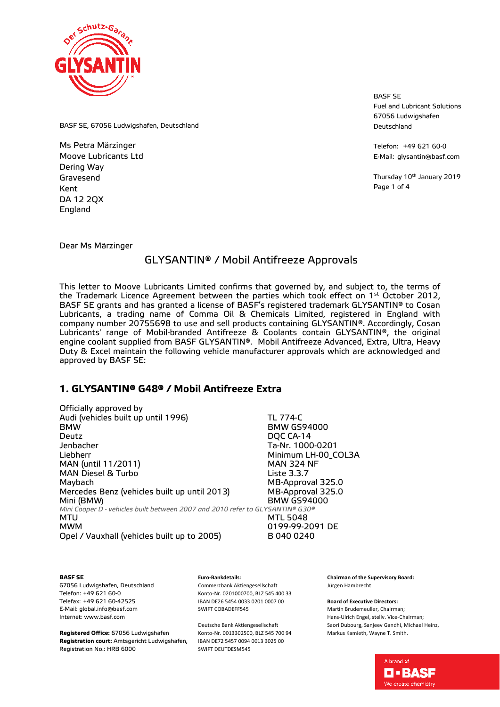

BASF SE Fuel and Lubricant Solutions 67056 Ludwigshafen Deutschland

Telefon: +49 621 60-0 E-Mail: glysantin@basf.com

Thursday 10<sup>th</sup> January 2019 Page 1 of 4

BASF SE, 67056 Ludwigshafen, Deutschland

Ms Petra Märzinger Moove Lubricants Ltd Dering Way Gravesend Kent DA 12 2QX England

Dear Ms Märzinger

## GLYSANTIN® / Mobil Antifreeze Approvals

This letter to Moove Lubricants Limited confirms that governed by, and subject to, the terms of the Trademark Licence Agreement between the parties which took effect on  $1<sup>st</sup>$  October 2012, BASF SE grants and has granted a license of BASF's registered trademark GLYSANTIN® to Cosan Lubricants, a trading name of Comma Oil & Chemicals Limited, registered in England with company number 20755698 to use and sell products containing GLYSANTIN®. Accordingly, Cosan Lubricants' range of Mobil-branded Antifreeze & Coolants contain GLYSANTIN®, the original engine coolant supplied from BASF GLYSANTIN®. Mobil Antifreeze Advanced, Extra, Ultra, Heavy Duty & Excel maintain the following vehicle manufacturer approvals which are acknowledged and approved by BASF SE:

### **1. GLYSANTIN® G48® / Mobil Antifreeze Extra**

| Officially approved by                                                        |                     |
|-------------------------------------------------------------------------------|---------------------|
| Audi (vehicles built up until 1996)                                           | <b>TL 774-C</b>     |
| <b>BMW</b>                                                                    | <b>BMW GS94000</b>  |
| Deutz                                                                         | DQC CA-14           |
| Jenbacher                                                                     | Ta-Nr. 1000-0201    |
| Liebherr                                                                      | Minimum LH-00_COL3A |
| MAN (until 11/2011)                                                           | <b>MAN 324 NF</b>   |
| MAN Diesel & Turbo                                                            | Liste 3.3.7         |
| Maybach                                                                       | MB-Approval 325.0   |
| Mercedes Benz (vehicles built up until 2013)                                  | MB-Approval 325.0   |
| Mini (BMW)                                                                    | <b>BMW GS94000</b>  |
| Mini Cooper D - vehicles built between 2007 and 2010 refer to GLYSANTIN® G30® |                     |
| MTU                                                                           | <b>MTL 5048</b>     |
| <b>MWM</b>                                                                    | 0199-99-2091 DE     |
| Opel / Vauxhall (vehicles built up to 2005)                                   | B 040 0240          |
|                                                                               |                     |

#### **BASF SE**

67056 Ludwigshafen, Deutschland Telefon: +49 621 60-0 Telefax: +49 621 60-42525 E-Mail: global.info@basf.com Internet: www.basf.com

**Registered Office:** 67056 Ludwigshafen **Registration court:** Amtsgericht Ludwigshafen, Registration No.: HRB 6000

#### **Euro-Bankdetails:**

Commerzbank Aktiengesellschaft Konto-Nr. 0201000700, BLZ 545 400 33 IBAN DE26 5454 0033 0201 0007 00 SWIFT COBADEFF545

Deutsche Bank Aktiengesellschaft Konto-Nr. 0013302500, BLZ 545 700 94 IBAN DE72 5457 0094 0013 3025 00 SWIFT DEUTDESM545

**Chairman of the Supervisory Board:** Jürgen Hambrecht

**Board of Executive Directors:**

Martin Brudemeuller, Chairman; Hans-Ulrich Engel, stellv. Vice-Chairman; Saori Dubourg, Sanjeev Gandhi, Michael Heinz, Markus Kamieth, Wayne T. Smith.

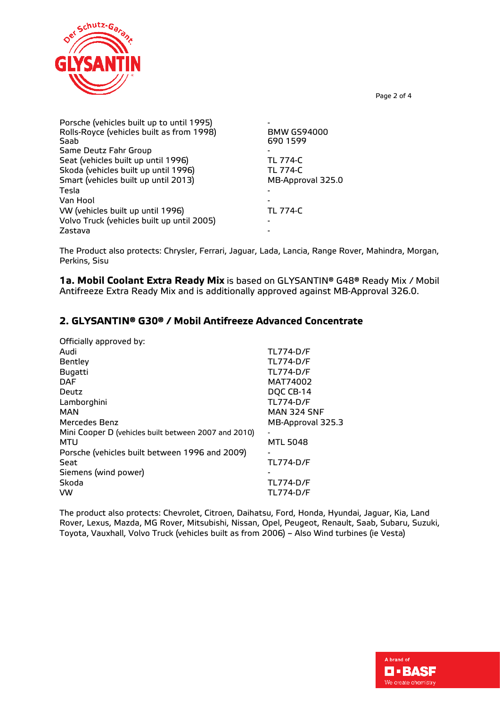

Porsche (vehicles built up to until 1995) - Rolls-Royce (vehicles built as from 1998)<br>Saab 690 1599 Same Deutz Fahr Group - Seat (vehicles built up until 1996)<br>Skoda (vehicles built up until 1996) TL 774-C Skoda (vehicles built up until 1996) Smart (vehicles built up until 2013) MB-Approval 325.0 Tesla - Van Hool VW (vehicles built up until 1996) TL 774-C Volvo Truck (vehicles built up until 2005) - Zastava

The Product also protects: Chrysler, Ferrari, Jaguar, Lada, Lancia, Range Rover, Mahindra, Morgan, Perkins, Sisu

**1a. Mobil Coolant Extra Ready Mix** is based on GLYSANTIN® G48® Ready Mix / Mobil Antifreeze Extra Ready Mix and is additionally approved against MB-Approval 326.0.

## **2. GLYSANTIN® G30® / Mobil Antifreeze Advanced Concentrate**

| Officially approved by:                              |                          |
|------------------------------------------------------|--------------------------|
| Audi                                                 | <b>TL774-D/F</b>         |
| Bentley                                              | <b>TL774-D/F</b>         |
| <b>Bugatti</b>                                       | <b>TL774-D/F</b>         |
| <b>DAF</b>                                           | MAT74002                 |
| Deutz                                                | DQC CB-14                |
| Lamborghini                                          | <b>TL774-D/F</b>         |
| <b>MAN</b>                                           | <b>MAN 324 SNF</b>       |
| Mercedes Benz                                        | MB-Approval 325.3        |
| Mini Cooper D (vehicles built between 2007 and 2010) | $\overline{\phantom{0}}$ |
| <b>MTU</b>                                           | <b>MTL 5048</b>          |
| Porsche (vehicles built between 1996 and 2009)       |                          |
| Seat                                                 | <b>TL774-D/F</b>         |
| Siemens (wind power)                                 |                          |
| Skoda                                                | <b>TL774-D/F</b>         |
| <b>VW</b>                                            | <b>TL774-D/F</b>         |

The product also protects: Chevrolet, Citroen, Daihatsu, Ford, Honda, Hyundai, Jaguar, Kia, Land Rover, Lexus, Mazda, MG Rover, Mitsubishi, Nissan, Opel, Peugeot, Renault, Saab, Subaru, Suzuki, Toyota, Vauxhall, Volvo Truck (vehicles built as from 2006) – Also Wind turbines (ie Vesta)



Page 2 of 4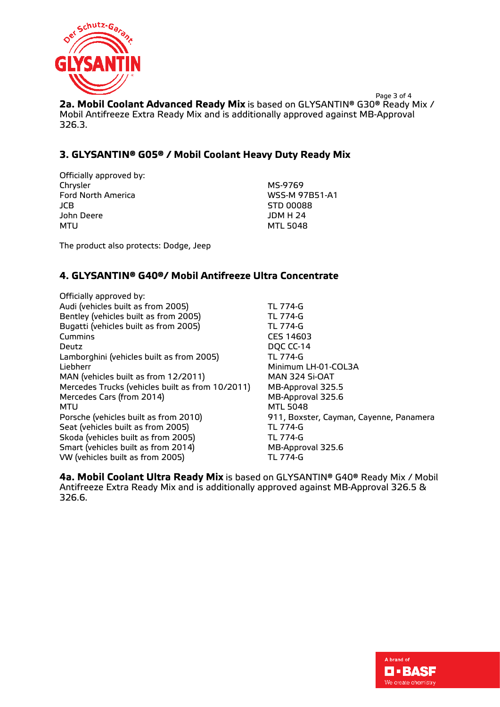

Page 3 of 4 **2a. Mobil Coolant Advanced Ready Mix** is based on GLYSANTIN® G30® Ready Mix / Mobil Antifreeze Extra Ready Mix and is additionally approved against MB-Approval 326.3.

## **3. GLYSANTIN® G05® / Mobil Coolant Heavy Duty Ready Mix**

Officially approved by: Chrysler MS-9769 Ford North America WSS-M 97B51-A1 JCB STD 00088 John Deere MTU MTL 5048

The product also protects: Dodge, Jeep

### **4. GLYSANTIN® G40®/ Mobil Antifreeze Ultra Concentrate**

Officially approved by: Audi (vehicles built as from 2005) TL 774-G Bentley (vehicles built as from 2005) TL 774-G<br>Bugatti (vehicles built as from 2005) TL 774-G Bugatti (vehicles built as from 2005) Cummins CES 14603 Deutz Deutz DOC CC-14 Lamborghini (vehicles built as from 2005) TL 774-G Liebherr Minimum LH-01-COL3A MAN (vehicles built as from 12/2011) MAN 324 Si-OAT Mercedes Trucks (vehicles built as from 10/2011) MB-Approval 325.5 Mercedes Cars (from 2014)<br>MTU<br>MTL 5048 Porsche (vehicles built as from 2010) 911, Boxster, Cayman, Cayenne, Panamera Seat (vehicles built as from 2005)<br>Skoda (vehicles built as from 2005) TL 774-G Skoda (vehicles built as from 2005) Smart (vehicles built as from 2014) MB-Approval 325.6 VW (vehicles built as from 2005) TL 774-G

**MTL 5048** 

**4a. Mobil Coolant Ultra Ready Mix** is based on GLYSANTIN® G40® Ready Mix / Mobil Antifreeze Extra Ready Mix and is additionally approved against MB-Approval 326.5 & 326.6.